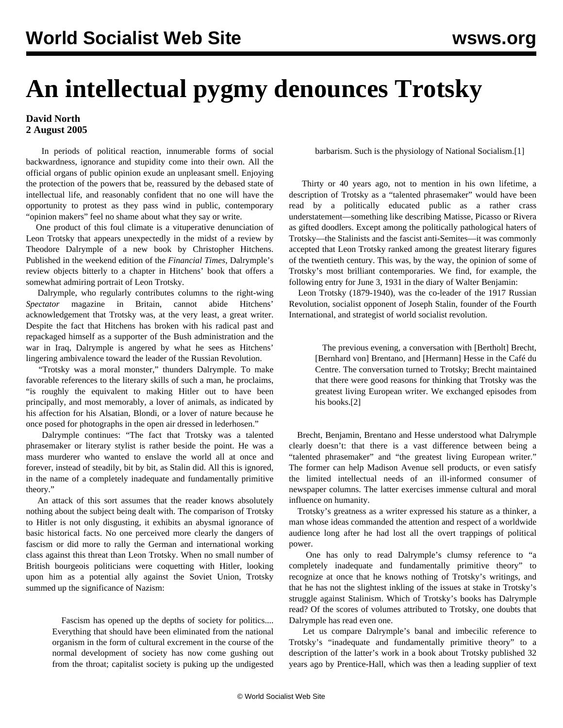## **An intellectual pygmy denounces Trotsky**

## **David North 2 August 2005**

 In periods of political reaction, innumerable forms of social backwardness, ignorance and stupidity come into their own. All the official organs of public opinion exude an unpleasant smell. Enjoying the protection of the powers that be, reassured by the debased state of intellectual life, and reasonably confident that no one will have the opportunity to protest as they pass wind in public, contemporary "opinion makers" feel no shame about what they say or write.

 One product of this foul climate is a vituperative denunciation of Leon Trotsky that appears unexpectedly in the midst of a review by Theodore Dalrymple of a new book by Christopher Hitchens. Published in the weekend edition of the *Financial Times*, Dalrymple's review objects bitterly to a chapter in Hitchens' book that offers a somewhat admiring portrait of Leon Trotsky.

 Dalrymple, who regularly contributes columns to the right-wing *Spectator* magazine in Britain, cannot abide Hitchens' acknowledgement that Trotsky was, at the very least, a great writer. Despite the fact that Hitchens has broken with his radical past and repackaged himself as a supporter of the Bush administration and the war in Iraq, Dalrymple is angered by what he sees as Hitchens' lingering ambivalence toward the leader of the Russian Revolution.

 "Trotsky was a moral monster," thunders Dalrymple. To make favorable references to the literary skills of such a man, he proclaims, "is roughly the equivalent to making Hitler out to have been principally, and most memorably, a lover of animals, as indicated by his affection for his Alsatian, Blondi, or a lover of nature because he once posed for photographs in the open air dressed in lederhosen."

 Dalrymple continues: "The fact that Trotsky was a talented phrasemaker or literary stylist is rather beside the point. He was a mass murderer who wanted to enslave the world all at once and forever, instead of steadily, bit by bit, as Stalin did. All this is ignored, in the name of a completely inadequate and fundamentally primitive theory."

 An attack of this sort assumes that the reader knows absolutely nothing about the subject being dealt with. The comparison of Trotsky to Hitler is not only disgusting, it exhibits an abysmal ignorance of basic historical facts. No one perceived more clearly the dangers of fascism or did more to rally the German and international working class against this threat than Leon Trotsky. When no small number of British bourgeois politicians were coquetting with Hitler, looking upon him as a potential ally against the Soviet Union, Trotsky summed up the significance of Nazism:

> Fascism has opened up the depths of society for politics.... Everything that should have been eliminated from the national organism in the form of cultural excrement in the course of the normal development of society has now come gushing out from the throat; capitalist society is puking up the undigested

barbarism. Such is the physiology of National Socialism.[1]

 Thirty or 40 years ago, not to mention in his own lifetime, a description of Trotsky as a "talented phrasemaker" would have been read by a politically educated public as a rather crass understatement—something like describing Matisse, Picasso or Rivera as gifted doodlers. Except among the politically pathological haters of Trotsky—the Stalinists and the fascist anti-Semites—it was commonly accepted that Leon Trotsky ranked among the greatest literary figures of the twentieth century. This was, by the way, the opinion of some of Trotsky's most brilliant contemporaries. We find, for example, the following entry for June 3, 1931 in the diary of Walter Benjamin:

 Leon Trotsky (1879-1940), was the co-leader of the 1917 Russian Revolution, socialist opponent of Joseph Stalin, founder of the Fourth International, and strategist of world socialist revolution.

> The previous evening, a conversation with [Bertholt] Brecht, [Bernhard von] Brentano, and [Hermann] Hesse in the Café du Centre. The conversation turned to Trotsky; Brecht maintained that there were good reasons for thinking that Trotsky was the greatest living European writer. We exchanged episodes from his books.[2]

 Brecht, Benjamin, Brentano and Hesse understood what Dalrymple clearly doesn't: that there is a vast difference between being a "talented phrasemaker" and "the greatest living European writer." The former can help Madison Avenue sell products, or even satisfy the limited intellectual needs of an ill-informed consumer of newspaper columns. The latter exercises immense cultural and moral influence on humanity.

 Trotsky's greatness as a writer expressed his stature as a thinker, a man whose ideas commanded the attention and respect of a worldwide audience long after he had lost all the overt trappings of political power.

 One has only to read Dalrymple's clumsy reference to "a completely inadequate and fundamentally primitive theory" to recognize at once that he knows nothing of Trotsky's writings, and that he has not the slightest inkling of the issues at stake in Trotsky's struggle against Stalinism. Which of Trotsky's books has Dalrymple read? Of the scores of volumes attributed to Trotsky, one doubts that Dalrymple has read even one.

 Let us compare Dalrymple's banal and imbecilic reference to Trotsky's "inadequate and fundamentally primitive theory" to a description of the latter's work in a book about Trotsky published 32 years ago by Prentice-Hall, which was then a leading supplier of text